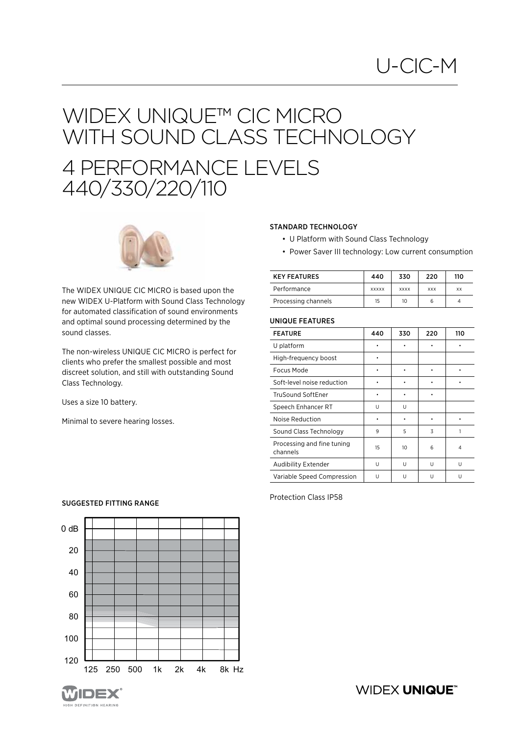## WIDEX UNIQUE™ CIC MICRO WITH SOUND CLASS TECHNOLOGY 4 PERFORMANCE LEVELS 440/330/220/110



The WIDEX UNIQUE CIC MICRO is based upon the new WIDEX U-Platform with Sound Class Technology for automated classification of sound environments and optimal sound processing determined by the sound classes.

The non-wireless UNIQUE CIC MICRO is perfect for clients who prefer the smallest possible and most discreet solution, and still with outstanding Sound Class Technology.

Uses a size 10 battery.

Minimal to severe hearing losses.

### STANDARD TECHNOLOGY

- U Platform with Sound Class Technology
- Power Saver III technology: Low current consumption

| <b>KEY FEATURES</b> | 440          | 330         | 220        | 110 |
|---------------------|--------------|-------------|------------|-----|
| Performance         | <b>XXXXX</b> | <b>XXXX</b> | <b>XXX</b> | XX  |
| Processing channels | 15           | 10          |            |     |

### UNIQUE FEATURES

| <b>FEATURE</b>                         | 440 | 330 | 220 | 110 |
|----------------------------------------|-----|-----|-----|-----|
| U platform                             |     |     |     |     |
| High-frequency boost                   |     |     |     |     |
| Focus Mode                             |     |     |     |     |
| Soft-level noise reduction             |     |     |     |     |
| TruSound SoftEner                      |     |     |     |     |
| Speech Enhancer RT                     | U   | U   |     |     |
| Noise Reduction                        |     |     |     |     |
| Sound Class Technology                 | 9   | 5   | 3   | 1   |
| Processing and fine tuning<br>channels | 15  | 10  | 6   | 4   |
| Audibility Extender                    | U   | U   | U   | U   |
| Variable Speed Compression             | U   | U   | U   | U   |

Protection Class IP58

## SUGGESTED FITTING RANGE

**IGH DEFINITION HEARING** 



**WIDEX UNIQUE®**